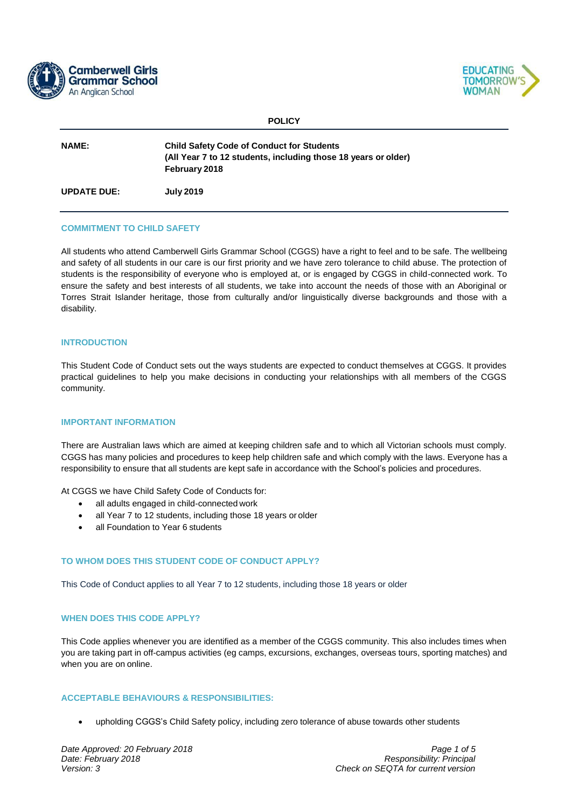



**POLICY**

| <b>NAME:</b>       | <b>Child Safety Code of Conduct for Students</b><br>(All Year 7 to 12 students, including those 18 years or older)<br>February 2018 |  |
|--------------------|-------------------------------------------------------------------------------------------------------------------------------------|--|
| <b>UPDATE DUE:</b> | <b>July 2019</b>                                                                                                                    |  |

#### **COMMITMENT TO CHILD SAFETY**

All students who attend Camberwell Girls Grammar School (CGGS) have a right to feel and to be safe. The wellbeing and safety of all students in our care is our first priority and we have zero tolerance to child abuse. The protection of students is the responsibility of everyone who is employed at, or is engaged by CGGS in child-connected work. To ensure the safety and best interests of all students, we take into account the needs of those with an Aboriginal or Torres Strait Islander heritage, those from culturally and/or linguistically diverse backgrounds and those with a disability.

#### **INTRODUCTION**

This Student Code of Conduct sets out the ways students are expected to conduct themselves at CGGS. It provides practical guidelines to help you make decisions in conducting your relationships with all members of the CGGS community.

#### **IMPORTANT INFORMATION**

There are Australian laws which are aimed at keeping children safe and to which all Victorian schools must comply. CGGS has many policies and procedures to keep help children safe and which comply with the laws. Everyone has a responsibility to ensure that all students are kept safe in accordance with the School's policies and procedures.

At CGGS we have Child Safety Code of Conducts for:

- all adults engaged in child-connected work
- all Year 7 to 12 students, including those 18 years or older
- all Foundation to Year 6 students

# **TO WHOM DOES THIS STUDENT CODE OF CONDUCT APPLY?**

This Code of Conduct applies to all Year 7 to 12 students, including those 18 years or older

#### **WHEN DOES THIS CODE APPLY?**

This Code applies whenever you are identified as a member of the CGGS community. This also includes times when you are taking part in off-campus activities (eg camps, excursions, exchanges, overseas tours, sporting matches) and when you are on online.

#### **ACCEPTABLE BEHAVIOURS & RESPONSIBILITIES:**

upholding CGGS's Child Safety policy, including zero tolerance of abuse towards other students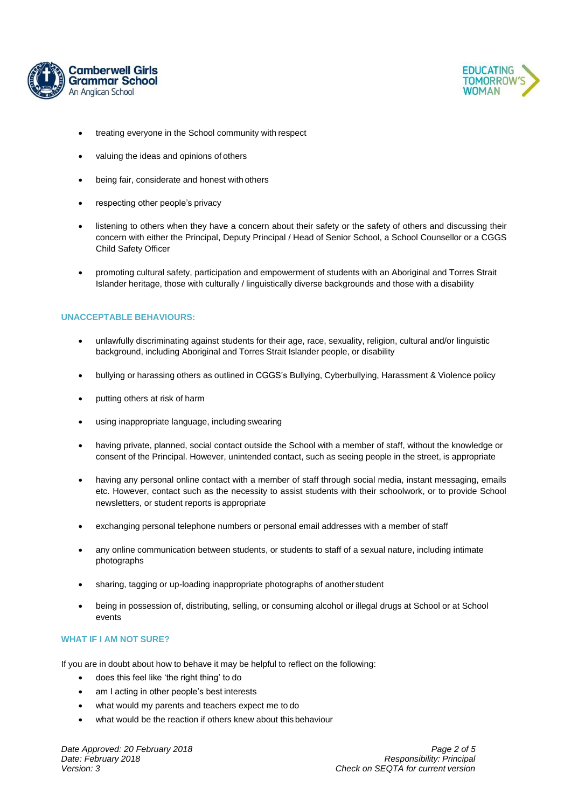



- treating everyone in the School community with respect
- valuing the ideas and opinions of others
- being fair, considerate and honest with others
- respecting other people's privacy
- listening to others when they have a concern about their safety or the safety of others and discussing their concern with either the Principal, Deputy Principal / Head of Senior School, a School Counsellor or a CGGS Child Safety Officer
- promoting cultural safety, participation and empowerment of students with an Aboriginal and Torres Strait Islander heritage, those with culturally / linguistically diverse backgrounds and those with a disability

# **UNACCEPTABLE BEHAVIOURS:**

- unlawfully discriminating against students for their age, race, sexuality, religion, cultural and/or linguistic background, including Aboriginal and Torres Strait Islander people, or disability
- bullying or harassing others as outlined in CGGS's Bullying, Cyberbullying, Harassment & Violence policy
- putting others at risk of harm
- using inappropriate language, including swearing
- having private, planned, social contact outside the School with a member of staff, without the knowledge or consent of the Principal. However, unintended contact, such as seeing people in the street, is appropriate
- having any personal online contact with a member of staff through social media, instant messaging, emails etc. However, contact such as the necessity to assist students with their schoolwork, or to provide School newsletters, or student reports is appropriate
- exchanging personal telephone numbers or personal email addresses with a member of staff
- any online communication between students, or students to staff of a sexual nature, including intimate photographs
- sharing, tagging or up-loading inappropriate photographs of anotherstudent
- being in possession of, distributing, selling, or consuming alcohol or illegal drugs at School or at School events

# **WHAT IF I AM NOT SURE?**

If you are in doubt about how to behave it may be helpful to reflect on the following:

- does this feel like 'the right thing' to do
- am I acting in other people's best interests
- what would my parents and teachers expect me to do
- what would be the reaction if others knew about this behaviour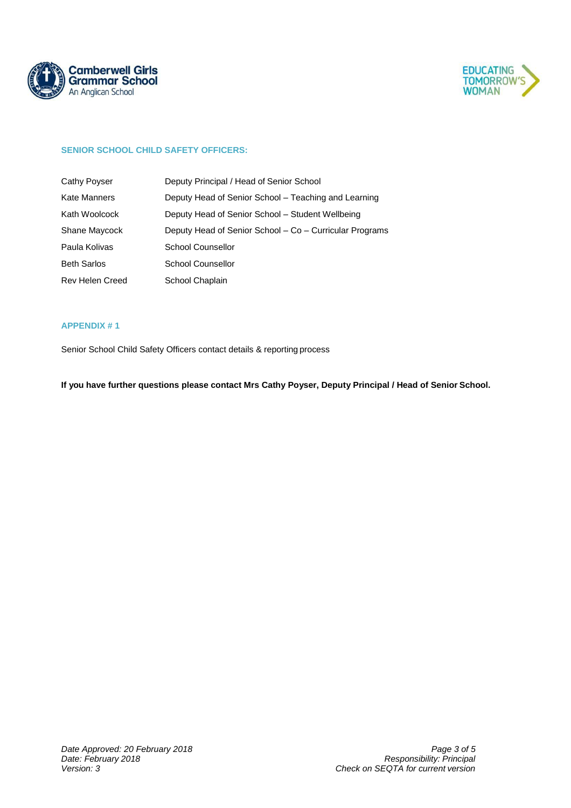



# **SENIOR SCHOOL CHILD SAFETY OFFICERS:**

| Cathy Poyser           | Deputy Principal / Head of Senior School                |
|------------------------|---------------------------------------------------------|
| Kate Manners           | Deputy Head of Senior School – Teaching and Learning    |
| Kath Woolcock          | Deputy Head of Senior School - Student Wellbeing        |
| Shane Maycock          | Deputy Head of Senior School - Co - Curricular Programs |
| Paula Kolivas          | School Counsellor                                       |
| <b>Beth Sarlos</b>     | School Counsellor                                       |
| <b>Rev Helen Creed</b> | School Chaplain                                         |

# **APPENDIX # 1**

Senior School Child Safety Officers contact details & reporting process

**If you have further questions please contact Mrs Cathy Poyser, Deputy Principal / Head of Senior School.**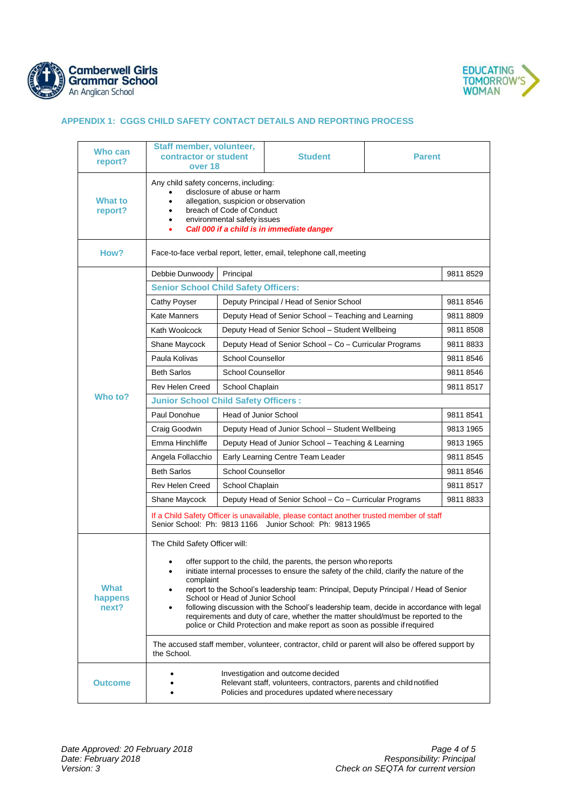



# **APPENDIX 1: CGGS CHILD SAFETY CONTACT DETAILS AND REPORTING PROCESS**

| Who can<br>report?       | Staff member, volunteer,<br>contractor or student<br>over 18                                                                                                                                                                                                                                                                                                                                                                                                                                                                                                     |                                                         | <b>Student</b> | <b>Parent</b> |           |  |  |
|--------------------------|------------------------------------------------------------------------------------------------------------------------------------------------------------------------------------------------------------------------------------------------------------------------------------------------------------------------------------------------------------------------------------------------------------------------------------------------------------------------------------------------------------------------------------------------------------------|---------------------------------------------------------|----------------|---------------|-----------|--|--|
| What to<br>report?       | Any child safety concerns, including:<br>disclosure of abuse or harm<br>allegation, suspicion or observation<br>$\bullet$<br>breach of Code of Conduct<br>environmental safety issues<br>٠<br>Call 000 if a child is in immediate danger<br>٠                                                                                                                                                                                                                                                                                                                    |                                                         |                |               |           |  |  |
| How?                     | Face-to-face verbal report, letter, email, telephone call, meeting                                                                                                                                                                                                                                                                                                                                                                                                                                                                                               |                                                         |                |               |           |  |  |
|                          | Debbie Dunwoody                                                                                                                                                                                                                                                                                                                                                                                                                                                                                                                                                  | Principal                                               |                |               | 98118529  |  |  |
|                          | <b>Senior School Child Safety Officers:</b>                                                                                                                                                                                                                                                                                                                                                                                                                                                                                                                      |                                                         |                |               |           |  |  |
|                          | <b>Cathy Poyser</b>                                                                                                                                                                                                                                                                                                                                                                                                                                                                                                                                              | Deputy Principal / Head of Senior School                |                |               | 98118546  |  |  |
|                          | <b>Kate Manners</b>                                                                                                                                                                                                                                                                                                                                                                                                                                                                                                                                              | Deputy Head of Senior School - Teaching and Learning    |                |               | 98118809  |  |  |
|                          | Kath Woolcock                                                                                                                                                                                                                                                                                                                                                                                                                                                                                                                                                    | Deputy Head of Senior School - Student Wellbeing        |                |               | 98118508  |  |  |
| Who to?                  | Shane Maycock                                                                                                                                                                                                                                                                                                                                                                                                                                                                                                                                                    | Deputy Head of Senior School - Co - Curricular Programs |                |               | 98118833  |  |  |
|                          | Paula Kolivas                                                                                                                                                                                                                                                                                                                                                                                                                                                                                                                                                    | <b>School Counsellor</b>                                |                |               | 98118546  |  |  |
|                          | <b>Beth Sarlos</b>                                                                                                                                                                                                                                                                                                                                                                                                                                                                                                                                               | <b>School Counsellor</b>                                |                |               | 98118546  |  |  |
|                          | Rev Helen Creed                                                                                                                                                                                                                                                                                                                                                                                                                                                                                                                                                  | School Chaplain                                         |                |               | 98118517  |  |  |
|                          | <b>Junior School Child Safety Officers:</b>                                                                                                                                                                                                                                                                                                                                                                                                                                                                                                                      |                                                         |                |               |           |  |  |
|                          | Paul Donohue                                                                                                                                                                                                                                                                                                                                                                                                                                                                                                                                                     | Head of Junior School                                   |                |               | 98118541  |  |  |
|                          | Craig Goodwin                                                                                                                                                                                                                                                                                                                                                                                                                                                                                                                                                    | Deputy Head of Junior School - Student Wellbeing        |                |               | 9813 1965 |  |  |
|                          | Emma Hinchliffe                                                                                                                                                                                                                                                                                                                                                                                                                                                                                                                                                  | Deputy Head of Junior School - Teaching & Learning      |                |               | 9813 1965 |  |  |
|                          | Angela Follacchio                                                                                                                                                                                                                                                                                                                                                                                                                                                                                                                                                | Early Learning Centre Team Leader                       |                | 98118545      |           |  |  |
|                          | <b>Beth Sarlos</b>                                                                                                                                                                                                                                                                                                                                                                                                                                                                                                                                               | <b>School Counsellor</b>                                |                |               | 98118546  |  |  |
|                          | Rev Helen Creed                                                                                                                                                                                                                                                                                                                                                                                                                                                                                                                                                  | School Chaplain                                         |                |               |           |  |  |
|                          | Shane Maycock                                                                                                                                                                                                                                                                                                                                                                                                                                                                                                                                                    | Deputy Head of Senior School - Co - Curricular Programs |                |               | 98118833  |  |  |
|                          | If a Child Safety Officer is unavailable, please contact another trusted member of staff<br>Senior School: Ph: 9813 1166 Junior School: Ph: 9813 1965                                                                                                                                                                                                                                                                                                                                                                                                            |                                                         |                |               |           |  |  |
|                          | The Child Safety Officer will:                                                                                                                                                                                                                                                                                                                                                                                                                                                                                                                                   |                                                         |                |               |           |  |  |
| What<br>happens<br>next? | offer support to the child, the parents, the person who reports<br>initiate internal processes to ensure the safety of the child, clarify the nature of the<br>complaint<br>report to the School's leadership team: Principal, Deputy Principal / Head of Senior<br>School or Head of Junior School<br>following discussion with the School's leadership team, decide in accordance with legal<br>requirements and duty of care, whether the matter should/must be reported to the<br>police or Child Protection and make report as soon as possible if required |                                                         |                |               |           |  |  |
|                          | The accused staff member, volunteer, contractor, child or parent will also be offered support by<br>the School.                                                                                                                                                                                                                                                                                                                                                                                                                                                  |                                                         |                |               |           |  |  |
| <b>Outcome</b>           | Investigation and outcome decided<br>Relevant staff, volunteers, contractors, parents and child notified<br>Policies and procedures updated where necessary                                                                                                                                                                                                                                                                                                                                                                                                      |                                                         |                |               |           |  |  |